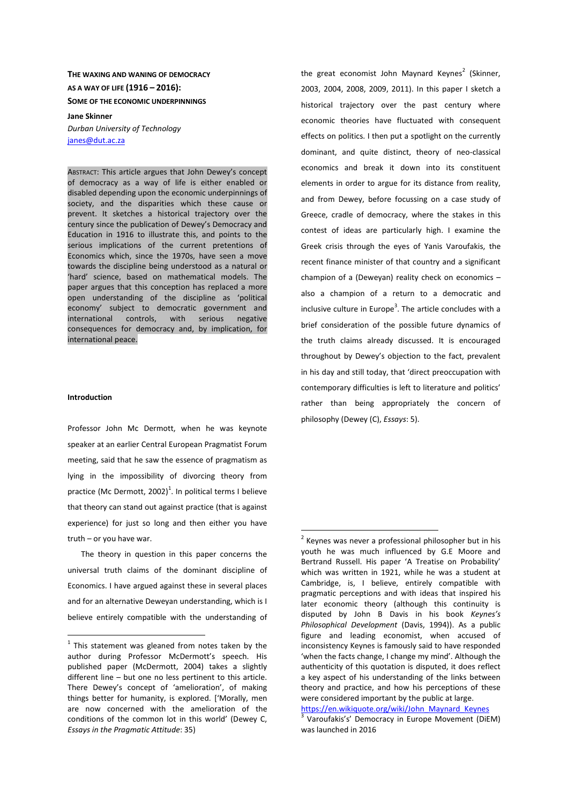**THE WAXING AND WANING OF DEMOCRACY AS A WAY OF LIFE (1916 – 2016): SOME OF THE ECONOMIC UNDERPINNINGS**

**Jane Skinner**  *Durban University of Technology* janes@dut.ac.za

ABSTRACT: This article argues that John Dewey's concept of democracy as a way of life is either enabled or disabled depending upon the economic underpinnings of society, and the disparities which these cause or prevent. It sketches a historical trajectory over the century since the publication of Dewey's Democracy and Education in 1916 to illustrate this, and points to the serious implications of the current pretentions of Economics which, since the 1970s, have seen a move towards the discipline being understood as a natural or 'hard' science, based on mathematical models. The paper argues that this conception has replaced a more open understanding of the discipline as 'political economy' subject to democratic government and international controls, with serious negative consequences for democracy and, by implication, for international peace.

#### **Introduction**

 $\overline{a}$ 

Professor John Mc Dermott, when he was keynote speaker at an earlier Central European Pragmatist Forum meeting, said that he saw the essence of pragmatism as lying in the impossibility of divorcing theory from practice (Mc Dermott, 2002)<sup>1</sup>. In political terms I believe that theory can stand out against practice (that is against experience) for just so long and then either you have truth – or you have war.

The theory in question in this paper concerns the universal truth claims of the dominant discipline of Economics. I have argued against these in several places and for an alternative Deweyan understanding, which is I believe entirely compatible with the understanding of

the great economist John Maynard Keynes<sup>2</sup> (Skinner, 2003, 2004, 2008, 2009, 2011). In this paper I sketch a historical trajectory over the past century where economic theories have fluctuated with consequent effects on politics. I then put a spotlight on the currently dominant, and quite distinct, theory of neo-classical economics and break it down into its constituent elements in order to argue for its distance from reality, and from Dewey, before focussing on a case study of Greece, cradle of democracy, where the stakes in this contest of ideas are particularly high. I examine the Greek crisis through the eyes of Yanis Varoufakis, the recent finance minister of that country and a significant champion of a (Deweyan) reality check on economics – also a champion of a return to a democratic and inclusive culture in Europe<sup>3</sup>. The article concludes with a brief consideration of the possible future dynamics of the truth claims already discussed. It is encouraged throughout by Dewey's objection to the fact, prevalent in his day and still today, that 'direct preoccupation with contemporary difficulties is left to literature and politics' rather than being appropriately the concern of philosophy (Dewey (C), *Essays*: 5).

 $\overline{a}$ 

https://en.wikiquote.org/wiki/John\_Maynard\_Keynes

 $1$  This statement was gleaned from notes taken by the author during Professor McDermott's speech. His published paper (McDermott, 2004) takes a slightly different line – but one no less pertinent to this article. There Dewey's concept of 'amelioration', of making things better for humanity, is explored. ['Morally, men are now concerned with the amelioration of the conditions of the common lot in this world' (Dewey C, *Essays in the Pragmatic Attitude*: 35)

 $2$  Keynes was never a professional philosopher but in his youth he was much influenced by G.E Moore and Bertrand Russell. His paper 'A Treatise on Probability' which was written in 1921, while he was a student at Cambridge, is, I believe, entirely compatible with pragmatic perceptions and with ideas that inspired his later economic theory (although this continuity is disputed by John B Davis in his book *Keynes's Philosophical Development* (Davis, 1994)). As a public figure and leading economist, when accused of inconsistency Keynes is famously said to have responded 'when the facts change, I change my mind'. Although the authenticity of this quotation is disputed, it does reflect a key aspect of his understanding of the links between theory and practice, and how his perceptions of these were considered important by the public at large.

<sup>&</sup>lt;sup>3</sup> Varoufakis's' Democracy in Europe Movement (DiEM) was launched in 2016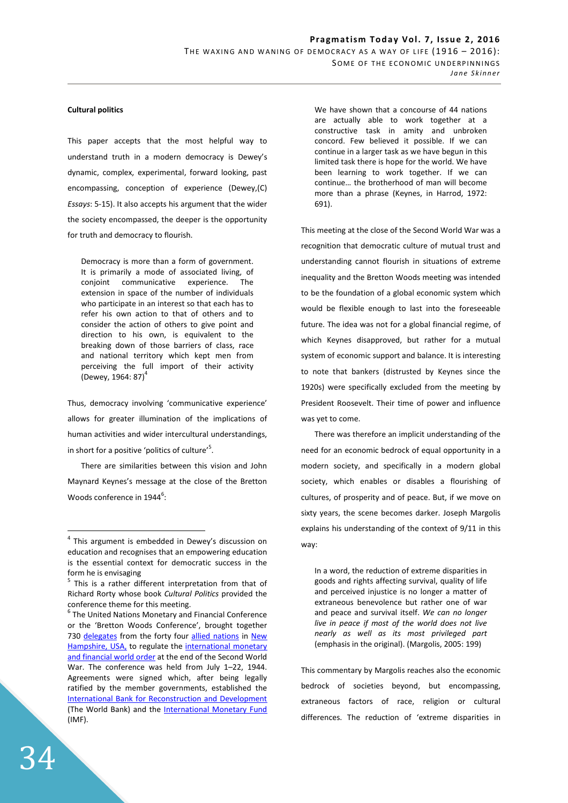## **Cultural politics**

This paper accepts that the most helpful way to understand truth in a modern democracy is Dewey's dynamic, complex, experimental, forward looking, past encompassing, conception of experience (Dewey,(C) *Essays*: 5-15). It also accepts his argument that the wider the society encompassed, the deeper is the opportunity for truth and democracy to flourish.

Democracy is more than a form of government. It is primarily a mode of associated living, of conjoint communicative experience. The extension in space of the number of individuals who participate in an interest so that each has to refer his own action to that of others and to consider the action of others to give point and direction to his own, is equivalent to the breaking down of those barriers of class, race and national territory which kept men from perceiving the full import of their activity (Dewey, 1964: 87) $^{4}$ 

Thus, democracy involving 'communicative experience' allows for greater illumination of the implications of human activities and wider intercultural understandings, in short for a positive 'politics of culture'<sup>5</sup>.

There are similarities between this vision and John Maynard Keynes's message at the close of the Bretton Woods conference in  $1944^6$ :

We have shown that a concourse of 44 nations are actually able to work together at a constructive task in amity and unbroken concord. Few believed it possible. If we can continue in a larger task as we have begun in this limited task there is hope for the world. We have been learning to work together. If we can continue… the brotherhood of man will become more than a phrase (Keynes, in Harrod, 1972: 691).

This meeting at the close of the Second World War was a recognition that democratic culture of mutual trust and understanding cannot flourish in situations of extreme inequality and the Bretton Woods meeting was intended to be the foundation of a global economic system which would be flexible enough to last into the foreseeable future. The idea was not for a global financial regime, of which Keynes disapproved, but rather for a mutual system of economic support and balance. It is interesting to note that bankers (distrusted by Keynes since the 1920s) were specifically excluded from the meeting by President Roosevelt. Their time of power and influence was yet to come.

There was therefore an implicit understanding of the need for an economic bedrock of equal opportunity in a modern society, and specifically in a modern global society, which enables or disables a flourishing of cultures, of prosperity and of peace. But, if we move on sixty years, the scene becomes darker. Joseph Margolis explains his understanding of the context of 9/11 in this way:

In a word, the reduction of extreme disparities in goods and rights affecting survival, quality of life and perceived injustice is no longer a matter of extraneous benevolence but rather one of war and peace and survival itself. *We can no longer live in peace if most of the world does not live nearly as well as its most privileged part* (emphasis in the original). (Margolis, 2005: 199)

This commentary by Margolis reaches also the economic bedrock of societies beyond, but encompassing, extraneous factors of race, religion or cultural differences. The reduction of 'extreme disparities in

 4 This argument is embedded in Dewey's discussion on education and recognises that an empowering education is the essential context for democratic success in the form he is envisaging

<sup>&</sup>lt;sup>5</sup> This is a rather different interpretation from that of Richard Rorty whose book *Cultural Politics* provided the conference theme for this meeting.

<sup>&</sup>lt;sup>6</sup> The United Nations Monetary and Financial Conference or the 'Bretton Woods Conference', brought together 730 delegates from the forty four allied nations in New Hampshire, USA, to regulate the international monetary and financial world order at the end of the Second World War. The conference was held from July 1–22, 1944. Agreements were signed which, after being legally ratified by the member governments, established the International Bank for Reconstruction and Development (The World Bank) and the International Monetary Fund (IMF).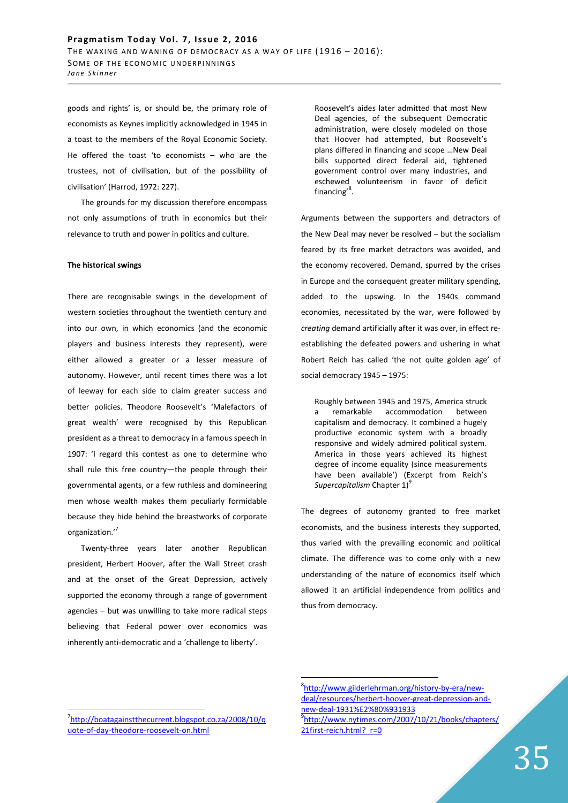goods and rights' is, or should be, the primary role of economists as Keynes implicitly acknowledged in 1945 in a toast to the members of the Royal Economic Society. He offered the toast 'to economists – who are the trustees, not of civilisation, but of the possibility of civilisation' (Harrod, 1972: 227).

The grounds for my discussion therefore encompass not only assumptions of truth in economics but their relevance to truth and power in politics and culture.

## **The historical swings**

There are recognisable swings in the development of western societies throughout the twentieth century and into our own, in which economics (and the economic players and business interests they represent), were either allowed a greater or a lesser measure of autonomy. However, until recent times there was a lot of leeway for each side to claim greater success and better policies. Theodore Roosevelt's 'Malefactors of great wealth' were recognised by this Republican president as a threat to democracy in a famous speech in 1907: 'I regard this contest as one to determine who shall rule this free country—the people through their governmental agents, or a few ruthless and domineering men whose wealth makes them peculiarly formidable because they hide behind the breastworks of corporate organization.'<sup>7</sup>

Twenty-three years later another Republican president, Herbert Hoover, after the Wall Street crash and at the onset of the Great Depression, actively supported the economy through a range of government agencies – but was unwilling to take more radical steps believing that Federal power over economics was inherently anti-democratic and a 'challenge to liberty'.

Roosevelt's aides later admitted that most New Deal agencies, of the subsequent Democratic administration, were closely modeled on those that Hoover had attempted, but Roosevelt's plans differed in financing and scope …New Deal bills supported direct federal aid, tightened government control over many industries, and eschewed volunteerism in favor of deficit financing'<sup>8</sup>.

Arguments between the supporters and detractors of the New Deal may never be resolved – but the socialism feared by its free market detractors was avoided, and the economy recovered. Demand, spurred by the crises in Europe and the consequent greater military spending, added to the upswing. In the 1940s command economies, necessitated by the war, were followed by *creating* demand artificially after it was over, in effect reestablishing the defeated powers and ushering in what Robert Reich has called 'the not quite golden age' of social democracy 1945 – 1975:

Roughly between 1945 and 1975, America struck a remarkable accommodation between capitalism and democracy. It combined a hugely productive economic system with a broadly responsive and widely admired political system. America in those years achieved its highest degree of income equality (since measurements have been available') (Excerpt from Reich's **Supercapitalism Chapter 1)**<sup>9</sup>

The degrees of autonomy granted to free market economists, and the business interests they supported, thus varied with the prevailing economic and political climate. The difference was to come only with a new understanding of the nature of economics itself which allowed it an artificial independence from politics and thus from democracy.

 $\overline{a}$ 

<sup>7</sup> http://boatagainstthecurrent.blogspot.co.za/2008/10/q uote-of-day-theodore-roosevelt-on.html

<sup>8</sup> http://www.gilderlehrman.org/history-by-era/newdeal/resources/herbert-hoover-great-depression-andnew-deal-1931%E2%80%931933 9 http://www.nytimes.com/2007/10/21/books/chapters/ 21first-reich.html? r=0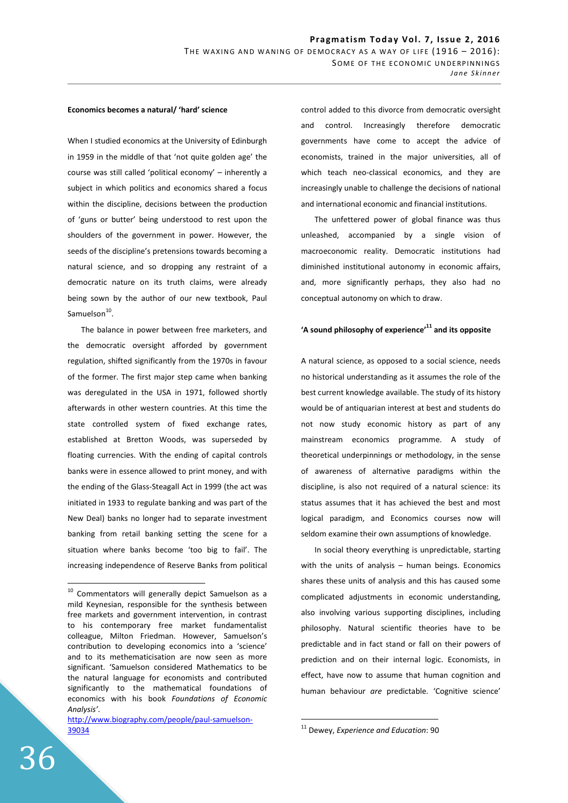### **Economics becomes a natural/ 'hard' science**

When I studied economics at the University of Edinburgh in 1959 in the middle of that 'not quite golden age' the course was still called 'political economy' – inherently a subject in which politics and economics shared a focus within the discipline, decisions between the production of 'guns or butter' being understood to rest upon the shoulders of the government in power. However, the seeds of the discipline's pretensions towards becoming a natural science, and so dropping any restraint of a democratic nature on its truth claims, were already being sown by the author of our new textbook, Paul Samuelson<sup>10</sup>.

The balance in power between free marketers, and the democratic oversight afforded by government regulation, shifted significantly from the 1970s in favour of the former. The first major step came when banking was deregulated in the USA in 1971, followed shortly afterwards in other western countries. At this time the state controlled system of fixed exchange rates, established at Bretton Woods, was superseded by floating currencies. With the ending of capital controls banks were in essence allowed to print money, and with the ending of the Glass-Steagall Act in 1999 (the act was initiated in 1933 to regulate banking and was part of the New Deal) banks no longer had to separate investment banking from retail banking setting the scene for a situation where banks become 'too big to fail'. The increasing independence of Reserve Banks from political control added to this divorce from democratic oversight and control. Increasingly therefore democratic governments have come to accept the advice of economists, trained in the major universities, all of which teach neo-classical economics, and they are increasingly unable to challenge the decisions of national and international economic and financial institutions.

The unfettered power of global finance was thus unleashed, accompanied by a single vision of macroeconomic reality. Democratic institutions had diminished institutional autonomy in economic affairs, and, more significantly perhaps, they also had no conceptual autonomy on which to draw.

# **'A sound philosophy of experience'<sup>11</sup> and its opposite**

A natural science, as opposed to a social science, needs no historical understanding as it assumes the role of the best current knowledge available. The study of its history would be of antiquarian interest at best and students do not now study economic history as part of any mainstream economics programme. A study of theoretical underpinnings or methodology, in the sense of awareness of alternative paradigms within the discipline, is also not required of a natural science: its status assumes that it has achieved the best and most logical paradigm, and Economics courses now will seldom examine their own assumptions of knowledge.

In social theory everything is unpredictable, starting with the units of analysis – human beings. Economics shares these units of analysis and this has caused some complicated adjustments in economic understanding, also involving various supporting disciplines, including philosophy. Natural scientific theories have to be predictable and in fact stand or fall on their powers of prediction and on their internal logic. Economists, in effect, have now to assume that human cognition and human behaviour *are* predictable. 'Cognitive science'

 $\overline{a}$ 

<sup>&</sup>lt;sup>10</sup> Commentators will generally depict Samuelson as a mild Keynesian, responsible for the synthesis between free markets and government intervention, in contrast to his contemporary free market fundamentalist colleague, Milton Friedman. However, Samuelson's contribution to developing economics into a 'science' and to its methematicisation are now seen as more significant. 'Samuelson considered Mathematics to be the natural language for economists and contributed significantly to the mathematical foundations of economics with his book *Foundations of Economic Analysis'*.

http://www.biography.com/people/paul-samuelson-39034

<sup>11</sup> Dewey, *Experience and Education*: 90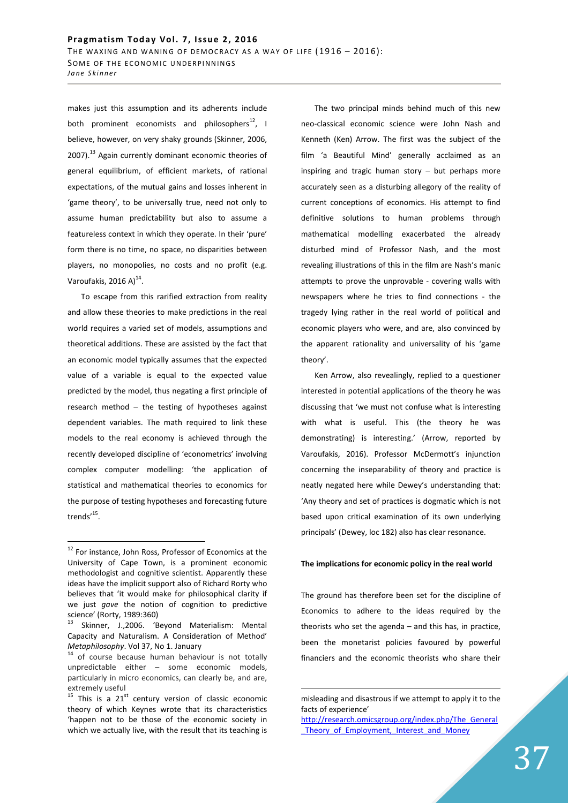makes just this assumption and its adherents include both prominent economists and philosophers $^{12}$ , I believe, however, on very shaky grounds (Skinner, 2006, 2007).<sup>13</sup> Again currently dominant economic theories of general equilibrium, of efficient markets, of rational expectations, of the mutual gains and losses inherent in 'game theory', to be universally true, need not only to assume human predictability but also to assume a featureless context in which they operate. In their 'pure' form there is no time, no space, no disparities between players, no monopolies, no costs and no profit (e.g. Varoufakis, 2016 A) $^{14}$ .

To escape from this rarified extraction from reality and allow these theories to make predictions in the real world requires a varied set of models, assumptions and theoretical additions. These are assisted by the fact that an economic model typically assumes that the expected value of a variable is equal to the expected value predicted by the model, thus negating a first principle of research method – the testing of hypotheses against dependent variables. The math required to link these models to the real economy is achieved through the recently developed discipline of 'econometrics' involving complex computer modelling: 'the application of statistical and mathematical theories to economics for the purpose of testing hypotheses and forecasting future trends'<sup>15</sup>.

 $\overline{a}$ 

The two principal minds behind much of this new neo-classical economic science were John Nash and Kenneth (Ken) Arrow. The first was the subject of the film 'a Beautiful Mind' generally acclaimed as an inspiring and tragic human story – but perhaps more accurately seen as a disturbing allegory of the reality of current conceptions of economics. His attempt to find definitive solutions to human problems through mathematical modelling exacerbated the already disturbed mind of Professor Nash, and the most revealing illustrations of this in the film are Nash's manic attempts to prove the unprovable - covering walls with newspapers where he tries to find connections - the tragedy lying rather in the real world of political and economic players who were, and are, also convinced by the apparent rationality and universality of his 'game theory'.

Ken Arrow, also revealingly, replied to a questioner interested in potential applications of the theory he was discussing that 'we must not confuse what is interesting with what is useful. This (the theory he was demonstrating) is interesting.' (Arrow, reported by Varoufakis, 2016). Professor McDermott's injunction concerning the inseparability of theory and practice is neatly negated here while Dewey's understanding that: 'Any theory and set of practices is dogmatic which is not based upon critical examination of its own underlying principals' (Dewey, loc 182) also has clear resonance.

### **The implications for economic policy in the real world**

The ground has therefore been set for the discipline of Economics to adhere to the ideas required by the theorists who set the agenda – and this has, in practice, been the monetarist policies favoured by powerful financiers and the economic theorists who share their

<sup>&</sup>lt;sup>12</sup> For instance, John Ross, Professor of Economics at the University of Cape Town, is a prominent economic methodologist and cognitive scientist. Apparently these ideas have the implicit support also of Richard Rorty who believes that 'it would make for philosophical clarity if we just *gave* the notion of cognition to predictive science' (Rorty, 1989:360)

Skinner, J.,2006. 'Beyond Materialism: Mental Capacity and Naturalism. A Consideration of Method' *Metaphilosophy*. Vol 37, No 1. January

<sup>&</sup>lt;sup>14</sup> of course because human behaviour is not totally unpredictable either – some economic models, particularly in micro economics, can clearly be, and are, extremely useful

 $15$  This is a 21<sup>st</sup> century version of classic economic theory of which Keynes wrote that its characteristics 'happen not to be those of the economic society in which we actually live, with the result that its teaching is

misleading and disastrous if we attempt to apply it to the facts of experience'

http://research.omicsgroup.org/index.php/The\_General Theory of Employment, Interest and Money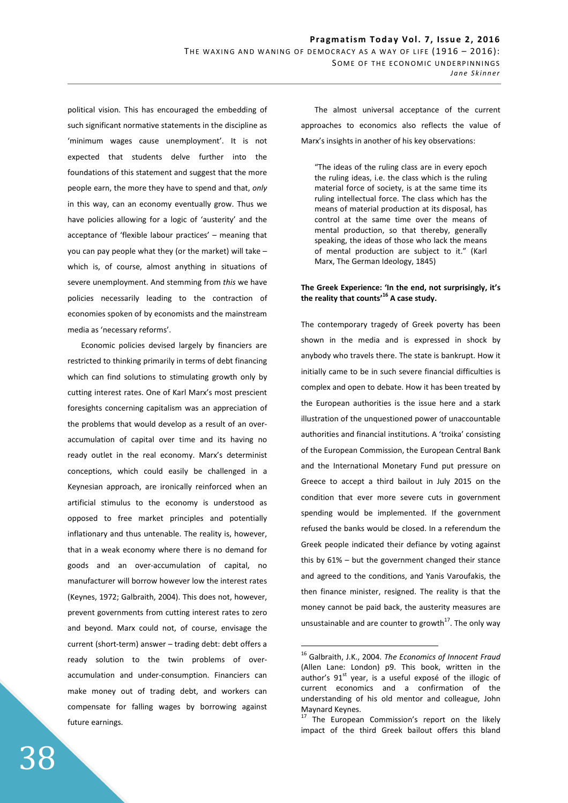political vision. This has encouraged the embedding of such significant normative statements in the discipline as 'minimum wages cause unemployment'. It is not expected that students delve further into the foundations of this statement and suggest that the more people earn, the more they have to spend and that, *only* in this way, can an economy eventually grow. Thus we have policies allowing for a logic of 'austerity' and the acceptance of 'flexible labour practices' – meaning that you can pay people what they (or the market) will take – which is, of course, almost anything in situations of severe unemployment. And stemming from *this* we have policies necessarily leading to the contraction of economies spoken of by economists and the mainstream media as 'necessary reforms'.

Economic policies devised largely by financiers are restricted to thinking primarily in terms of debt financing which can find solutions to stimulating growth only by cutting interest rates. One of Karl Marx's most prescient foresights concerning capitalism was an appreciation of the problems that would develop as a result of an overaccumulation of capital over time and its having no ready outlet in the real economy. Marx's determinist conceptions, which could easily be challenged in a Keynesian approach, are ironically reinforced when an artificial stimulus to the economy is understood as opposed to free market principles and potentially inflationary and thus untenable. The reality is, however, that in a weak economy where there is no demand for goods and an over-accumulation of capital, no manufacturer will borrow however low the interest rates (Keynes, 1972; Galbraith, 2004). This does not, however, prevent governments from cutting interest rates to zero and beyond. Marx could not, of course, envisage the current (short-term) answer – trading debt: debt offers a ready solution to the twin problems of overaccumulation and under-consumption. Financiers can make money out of trading debt, and workers can compensate for falling wages by borrowing against future earnings.

The almost universal acceptance of the current approaches to economics also reflects the value of Marx's insights in another of his key observations:

"The ideas of the ruling class are in every epoch the ruling ideas, i.e. the class which is the ruling material force of society, is at the same time its ruling intellectual force. The class which has the means of material production at its disposal, has control at the same time over the means of mental production, so that thereby, generally speaking, the ideas of those who lack the means of mental production are subject to it." (Karl Marx, The German Ideology, 1845)

# **The Greek Experience: 'In the end, not surprisingly, it's the reality that counts'<sup>16</sup> A case study.**

The contemporary tragedy of Greek poverty has been shown in the media and is expressed in shock by anybody who travels there. The state is bankrupt. How it initially came to be in such severe financial difficulties is complex and open to debate. How it has been treated by the European authorities is the issue here and a stark illustration of the unquestioned power of unaccountable authorities and financial institutions. A 'troika' consisting of the European Commission, the European Central Bank and the International Monetary Fund put pressure on Greece to accept a third bailout in July 2015 on the condition that ever more severe cuts in government spending would be implemented. If the government refused the banks would be closed. In a referendum the Greek people indicated their defiance by voting against this by 61% – but the government changed their stance and agreed to the conditions, and Yanis Varoufakis, the then finance minister, resigned. The reality is that the money cannot be paid back, the austerity measures are unsustainable and are counter to growth<sup>17</sup>. The only way

<sup>16</sup> Galbraith, J.K., 2004. *The Economics of Innocent Fraud* (Allen Lane: London) p9. This book, written in the author's  $91<sup>st</sup>$  year, is a useful exposé of the illogic of current economics and a confirmation of the understanding of his old mentor and colleague, John Maynard Keynes.

<sup>&</sup>lt;sup>17</sup> The European Commission's report on the likely impact of the third Greek bailout offers this bland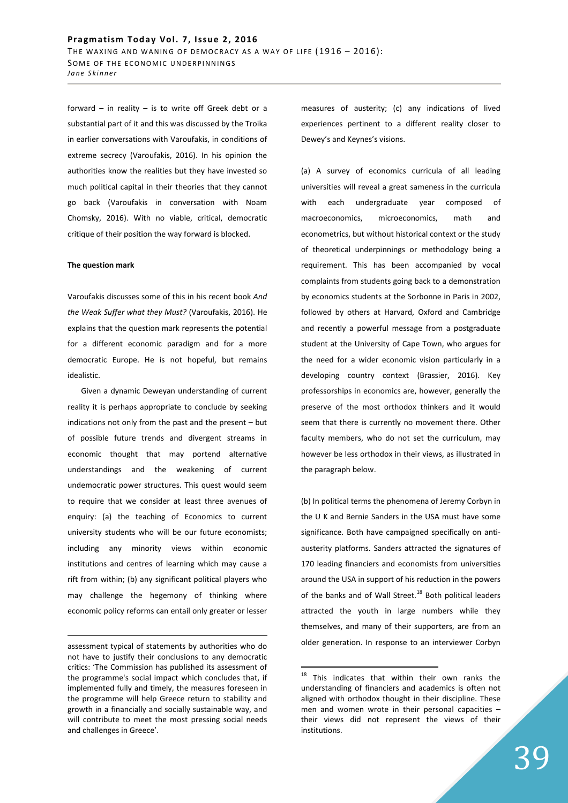forward – in reality – is to write off Greek debt or a substantial part of it and this was discussed by the Troika in earlier conversations with Varoufakis, in conditions of extreme secrecy (Varoufakis, 2016). In his opinion the authorities know the realities but they have invested so much political capital in their theories that they cannot go back (Varoufakis in conversation with Noam Chomsky, 2016). With no viable, critical, democratic critique of their position the way forward is blocked.

## **The question mark**

<u>.</u>

Varoufakis discusses some of this in his recent book *And the Weak Suffer what they Must?* (Varoufakis, 2016). He explains that the question mark represents the potential for a different economic paradigm and for a more democratic Europe. He is not hopeful, but remains idealistic.

Given a dynamic Deweyan understanding of current reality it is perhaps appropriate to conclude by seeking indications not only from the past and the present – but of possible future trends and divergent streams in economic thought that may portend alternative understandings and the weakening of current undemocratic power structures. This quest would seem to require that we consider at least three avenues of enquiry: (a) the teaching of Economics to current university students who will be our future economists; including any minority views within economic institutions and centres of learning which may cause a rift from within; (b) any significant political players who may challenge the hegemony of thinking where economic policy reforms can entail only greater or lesser measures of austerity; (c) any indications of lived experiences pertinent to a different reality closer to Dewey's and Keynes's visions.

(a) A survey of economics curricula of all leading universities will reveal a great sameness in the curricula with each undergraduate year composed of macroeconomics, microeconomics, math and econometrics, but without historical context or the study of theoretical underpinnings or methodology being a requirement. This has been accompanied by vocal complaints from students going back to a demonstration by economics students at the Sorbonne in Paris in 2002, followed by others at Harvard, Oxford and Cambridge and recently a powerful message from a postgraduate student at the University of Cape Town, who argues for the need for a wider economic vision particularly in a developing country context (Brassier, 2016). Key professorships in economics are, however, generally the preserve of the most orthodox thinkers and it would seem that there is currently no movement there. Other faculty members, who do not set the curriculum, may however be less orthodox in their views, as illustrated in the paragraph below.

(b) In political terms the phenomena of Jeremy Corbyn in the U K and Bernie Sanders in the USA must have some significance. Both have campaigned specifically on antiausterity platforms. Sanders attracted the signatures of 170 leading financiers and economists from universities around the USA in support of his reduction in the powers of the banks and of Wall Street.<sup>18</sup> Both political leaders attracted the youth in large numbers while they themselves, and many of their supporters, are from an older generation. In response to an interviewer Corbyn

assessment typical of statements by authorities who do not have to justify their conclusions to any democratic critics: 'The Commission has published its assessment of the programme's social impact which concludes that, if implemented fully and timely, the measures foreseen in the programme will help Greece return to stability and growth in a financially and socially sustainable way, and will contribute to meet the most pressing social needs and challenges in Greece'.

<sup>&</sup>lt;sup>18</sup> This indicates that within their own ranks the understanding of financiers and academics is often not aligned with orthodox thought in their discipline. These men and women wrote in their personal capacities – their views did not represent the views of their institutions.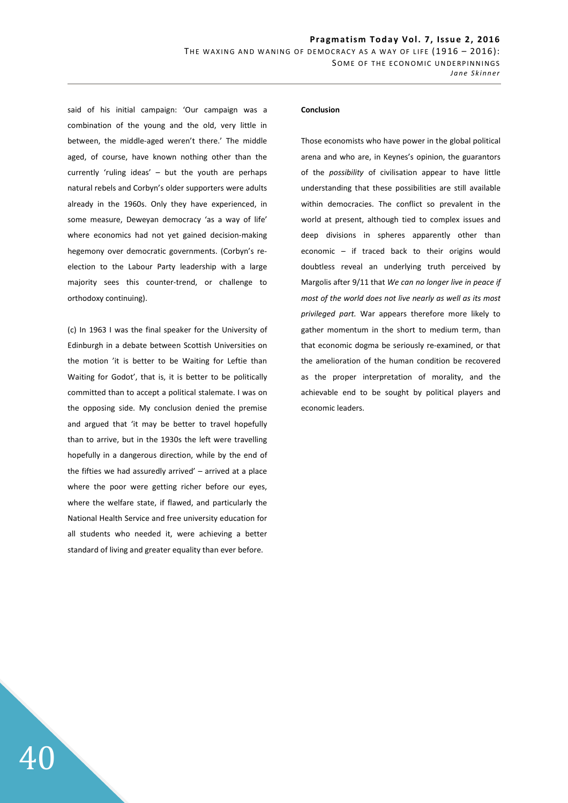said of his initial campaign: 'Our campaign was a combination of the young and the old, very little in between, the middle-aged weren't there.' The middle aged, of course, have known nothing other than the currently 'ruling ideas' – but the youth are perhaps natural rebels and Corbyn's older supporters were adults already in the 1960s. Only they have experienced, in some measure, Deweyan democracy 'as a way of life' where economics had not yet gained decision-making hegemony over democratic governments. (Corbyn's reelection to the Labour Party leadership with a large majority sees this counter-trend, or challenge to orthodoxy continuing).

(c) In 1963 I was the final speaker for the University of Edinburgh in a debate between Scottish Universities on the motion 'it is better to be Waiting for Leftie than Waiting for Godot', that is, it is better to be politically committed than to accept a political stalemate. I was on the opposing side. My conclusion denied the premise and argued that 'it may be better to travel hopefully than to arrive, but in the 1930s the left were travelling hopefully in a dangerous direction, while by the end of the fifties we had assuredly arrived' – arrived at a place where the poor were getting richer before our eyes, where the welfare state, if flawed, and particularly the National Health Service and free university education for all students who needed it, were achieving a better standard of living and greater equality than ever before.

40

#### **Conclusion**

Those economists who have power in the global political arena and who are, in Keynes's opinion, the guarantors of the *possibility* of civilisation appear to have little understanding that these possibilities are still available within democracies. The conflict so prevalent in the world at present, although tied to complex issues and deep divisions in spheres apparently other than economic – if traced back to their origins would doubtless reveal an underlying truth perceived by Margolis after 9/11 that *We can no longer live in peace if most of the world does not live nearly as well as its most privileged part.* War appears therefore more likely to gather momentum in the short to medium term, than that economic dogma be seriously re-examined, or that the amelioration of the human condition be recovered as the proper interpretation of morality, and the achievable end to be sought by political players and economic leaders.